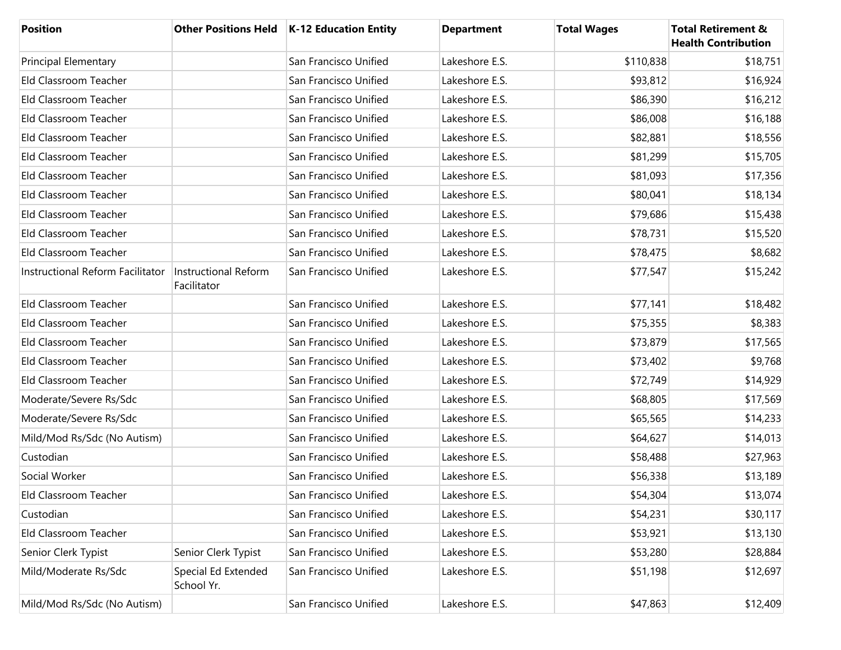| <b>Position</b>                  |                                     | Other Positions Held   K-12 Education Entity | <b>Department</b> | <b>Total Wages</b> | <b>Total Retirement &amp;</b><br><b>Health Contribution</b> |
|----------------------------------|-------------------------------------|----------------------------------------------|-------------------|--------------------|-------------------------------------------------------------|
| <b>Principal Elementary</b>      |                                     | San Francisco Unified                        | Lakeshore E.S.    | \$110,838          | \$18,751                                                    |
| Eld Classroom Teacher            |                                     | San Francisco Unified                        | Lakeshore E.S.    | \$93,812           | \$16,924                                                    |
| Eld Classroom Teacher            |                                     | San Francisco Unified                        | Lakeshore E.S.    | \$86,390           | \$16,212                                                    |
| Eld Classroom Teacher            |                                     | San Francisco Unified                        | Lakeshore E.S.    | \$86,008           | \$16,188                                                    |
| Eld Classroom Teacher            |                                     | San Francisco Unified                        | Lakeshore E.S.    | \$82,881           | \$18,556                                                    |
| Eld Classroom Teacher            |                                     | San Francisco Unified                        | Lakeshore E.S.    | \$81,299           | \$15,705                                                    |
| Eld Classroom Teacher            |                                     | San Francisco Unified                        | Lakeshore E.S.    | \$81,093           | \$17,356                                                    |
| Eld Classroom Teacher            |                                     | San Francisco Unified                        | Lakeshore E.S.    | \$80,041           | \$18,134                                                    |
| Eld Classroom Teacher            |                                     | San Francisco Unified                        | Lakeshore E.S.    | \$79,686           | \$15,438                                                    |
| Eld Classroom Teacher            |                                     | San Francisco Unified                        | Lakeshore E.S.    | \$78,731           | \$15,520                                                    |
| Eld Classroom Teacher            |                                     | San Francisco Unified                        | Lakeshore E.S.    | \$78,475           | \$8,682                                                     |
| Instructional Reform Facilitator | Instructional Reform<br>Facilitator | San Francisco Unified                        | Lakeshore E.S.    | \$77,547           | \$15,242                                                    |
| Eld Classroom Teacher            |                                     | San Francisco Unified                        | Lakeshore E.S.    | \$77,141           | \$18,482                                                    |
| Eld Classroom Teacher            |                                     | San Francisco Unified                        | Lakeshore E.S.    | \$75,355           | \$8,383                                                     |
| Eld Classroom Teacher            |                                     | San Francisco Unified                        | Lakeshore E.S.    | \$73,879           | \$17,565                                                    |
| Eld Classroom Teacher            |                                     | San Francisco Unified                        | Lakeshore E.S.    | \$73,402           | \$9,768                                                     |
| Eld Classroom Teacher            |                                     | San Francisco Unified                        | Lakeshore E.S.    | \$72,749           | \$14,929                                                    |
| Moderate/Severe Rs/Sdc           |                                     | San Francisco Unified                        | Lakeshore E.S.    | \$68,805           | \$17,569                                                    |
| Moderate/Severe Rs/Sdc           |                                     | San Francisco Unified                        | Lakeshore E.S.    | \$65,565           | \$14,233                                                    |
| Mild/Mod Rs/Sdc (No Autism)      |                                     | San Francisco Unified                        | Lakeshore E.S.    | \$64,627           | \$14,013                                                    |
| Custodian                        |                                     | San Francisco Unified                        | Lakeshore E.S.    | \$58,488           | \$27,963                                                    |
| Social Worker                    |                                     | San Francisco Unified                        | Lakeshore E.S.    | \$56,338           | \$13,189                                                    |
| Eld Classroom Teacher            |                                     | San Francisco Unified                        | Lakeshore E.S.    | \$54,304           | \$13,074                                                    |
| Custodian                        |                                     | San Francisco Unified                        | Lakeshore E.S.    | \$54,231           | \$30,117                                                    |
| Eld Classroom Teacher            |                                     | San Francisco Unified                        | Lakeshore E.S.    | \$53,921           | \$13,130                                                    |
| Senior Clerk Typist              | Senior Clerk Typist                 | San Francisco Unified                        | Lakeshore E.S.    | \$53,280           | \$28,884                                                    |
| Mild/Moderate Rs/Sdc             | Special Ed Extended<br>School Yr.   | San Francisco Unified                        | Lakeshore E.S.    | \$51,198           | \$12,697                                                    |
| Mild/Mod Rs/Sdc (No Autism)      |                                     | San Francisco Unified                        | Lakeshore E.S.    | \$47,863           | \$12,409                                                    |